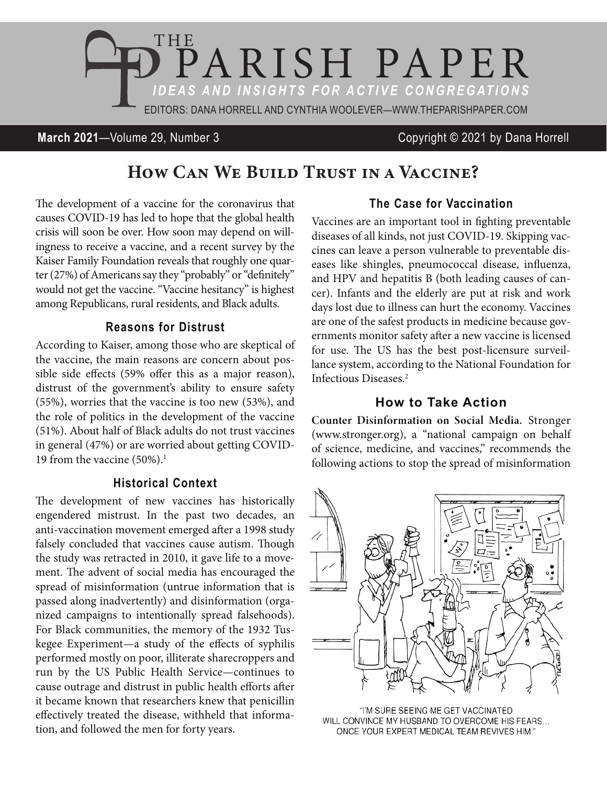

# **March 2021**—Volume 29, Number 3 Copyright © 2021 by Dana Horrell

# How CAN WE BUILD TRUST IN A VACCINE?

The development of a vaccine for the coronavirus that causes COVID-19 has led to hope that the global health crisis will soon be over. How soon may depend on willingness to receive a vaccine, and a recent survey by the Kaiser Family Foundation reveals that roughly one quarter (27%) of Americans say they "probably" or "definitely" would not get the vaccine. "Vaccine hesitancy" is highest among Republicans, rural residents, and Black adults.

## **Reasons for Distrust**

According to Kaiser, among those who are skeptical of the vaccine, the main reasons are concern about possible side effects (59% offer this as a major reason), distrust of the government's ability to ensure safety (55%), worries that the vaccine is too new (53%), and the role of politics in the development of the vaccine (51%). About half of Black adults do not trust vaccines in general (47%) or are worried about getting COVID-19 from the vaccine  $(50\%)$ .<sup>1</sup>

#### **Historical Context**

The development of new vaccines has historically engendered mistrust. In the past two decades, an anti-vaccination movement emerged after a 1998 study falsely concluded that vaccines cause autism. Though the study was retracted in 2010, it gave life to a movement. The advent of social media has encouraged the spread of misinformation (untrue information that is passed along inadvertently) and disinformation (organized campaigns to intentionally spread falsehoods). For Black communities, the memory of the 1932 Tuskegee Experiment—a study of the effects of syphilis performed mostly on poor, illiterate sharecroppers and run by the US Public Health Service—continues to cause outrage and distrust in public health efforts after it became known that researchers knew that penicillin effectively treated the disease, withheld that information, and followed the men for forty years.

# **The Case for Vaccination**

Vaccines are an important tool in fighting preventable diseases of all kinds, not just COVID-19. Skipping vaccines can leave a person vulnerable to preventable diseases like shingles, pneumococcal disease, influenza, and HPV and hepatitis B (both leading causes of cancer). Infants and the elderly are put at risk and work days lost due to illness can hurt the economy. Vaccines are one of the safest products in medicine because governments monitor safety after a new vaccine is licensed for use. The US has the best post-licensure surveillance system, according to the National Foundation for Infectious Diseases.2

### **How to Take Action**

Counter Disinformation on Social Media. Stronger (www.stronger.org), a "national campaign on behalf of science, medicine, and vaccines," recommends the following actions to stop the spread of misinformation



"I'M SURE SEEING ME GET VACCINATED WILL CONVINCE MY HUSBAND TO OVERCOME HIS FEARS... ONCE YOUR EXPERT MEDICAL TEAM REVIVES HIM."